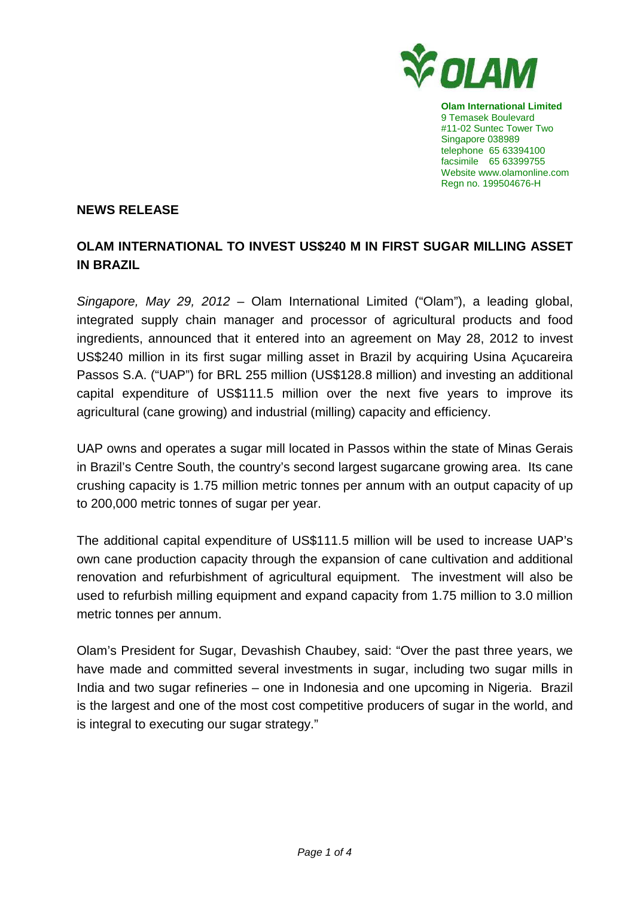

**Olam International Limited**  9 Temasek Boulevard #11-02 Suntec Tower Two Singapore 038989 telephone 65 63394100 facsimile 65 63399755 Website www.olamonline.com Regn no. 199504676-H

#### **NEWS RELEASE**

# **OLAM INTERNATIONAL TO INVEST US\$240 M IN FIRST SUGAR MILLING ASSET IN BRAZIL**

Singapore, May 29, 2012 – Olam International Limited ("Olam"), a leading global, integrated supply chain manager and processor of agricultural products and food ingredients, announced that it entered into an agreement on May 28, 2012 to invest US\$240 million in its first sugar milling asset in Brazil by acquiring Usina Açucareira Passos S.A. ("UAP") for BRL 255 million (US\$128.8 million) and investing an additional capital expenditure of US\$111.5 million over the next five years to improve its agricultural (cane growing) and industrial (milling) capacity and efficiency.

UAP owns and operates a sugar mill located in Passos within the state of Minas Gerais in Brazil's Centre South, the country's second largest sugarcane growing area. Its cane crushing capacity is 1.75 million metric tonnes per annum with an output capacity of up to 200,000 metric tonnes of sugar per year.

The additional capital expenditure of US\$111.5 million will be used to increase UAP's own cane production capacity through the expansion of cane cultivation and additional renovation and refurbishment of agricultural equipment. The investment will also be used to refurbish milling equipment and expand capacity from 1.75 million to 3.0 million metric tonnes per annum.

Olam's President for Sugar, Devashish Chaubey, said: "Over the past three years, we have made and committed several investments in sugar, including two sugar mills in India and two sugar refineries – one in Indonesia and one upcoming in Nigeria. Brazil is the largest and one of the most cost competitive producers of sugar in the world, and is integral to executing our sugar strategy."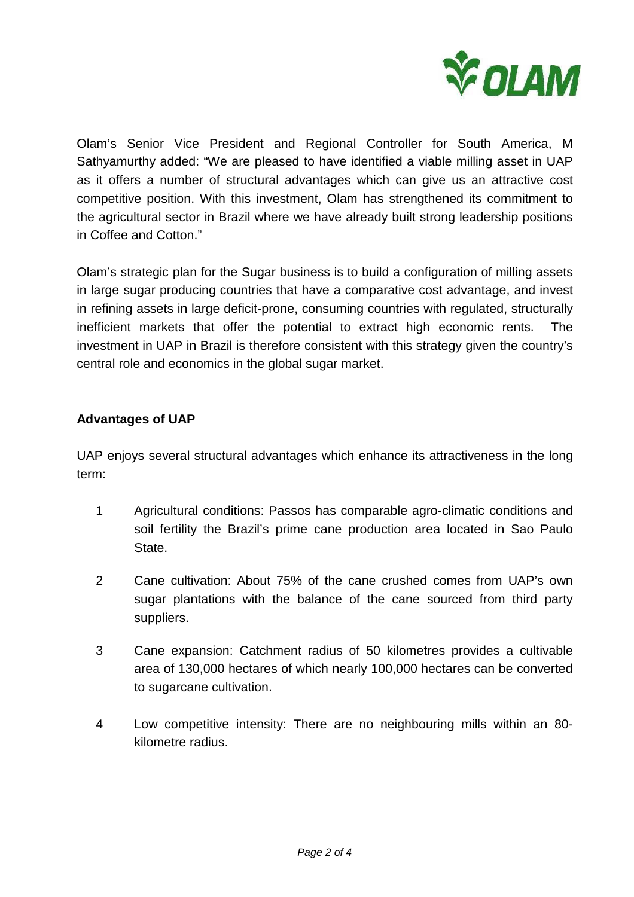

Olam's Senior Vice President and Regional Controller for South America, M Sathyamurthy added: "We are pleased to have identified a viable milling asset in UAP as it offers a number of structural advantages which can give us an attractive cost competitive position. With this investment, Olam has strengthened its commitment to the agricultural sector in Brazil where we have already built strong leadership positions in Coffee and Cotton."

Olam's strategic plan for the Sugar business is to build a configuration of milling assets in large sugar producing countries that have a comparative cost advantage, and invest in refining assets in large deficit-prone, consuming countries with regulated, structurally inefficient markets that offer the potential to extract high economic rents. The investment in UAP in Brazil is therefore consistent with this strategy given the country's central role and economics in the global sugar market.

## **Advantages of UAP**

UAP enjoys several structural advantages which enhance its attractiveness in the long term:

- 1 Agricultural conditions: Passos has comparable agro-climatic conditions and soil fertility the Brazil's prime cane production area located in Sao Paulo State.
- 2 Cane cultivation: About 75% of the cane crushed comes from UAP's own sugar plantations with the balance of the cane sourced from third party suppliers.
- 3 Cane expansion: Catchment radius of 50 kilometres provides a cultivable area of 130,000 hectares of which nearly 100,000 hectares can be converted to sugarcane cultivation.
- 4 Low competitive intensity: There are no neighbouring mills within an 80 kilometre radius.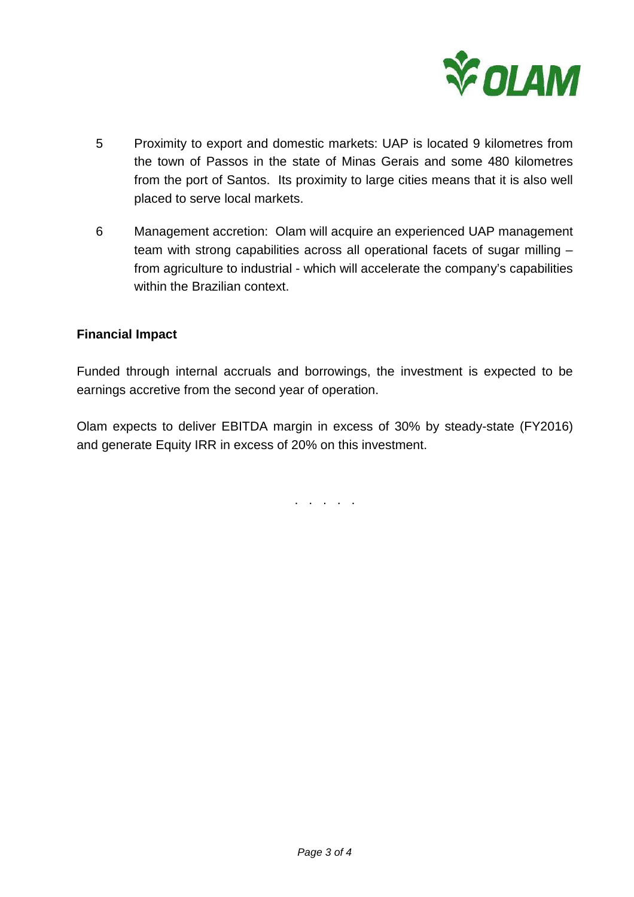

- 5 Proximity to export and domestic markets: UAP is located 9 kilometres from the town of Passos in the state of Minas Gerais and some 480 kilometres from the port of Santos. Its proximity to large cities means that it is also well placed to serve local markets.
- 6 Management accretion: Olam will acquire an experienced UAP management team with strong capabilities across all operational facets of sugar milling – from agriculture to industrial - which will accelerate the company's capabilities within the Brazilian context.

## **Financial Impact**

Funded through internal accruals and borrowings, the investment is expected to be earnings accretive from the second year of operation.

Olam expects to deliver EBITDA margin in excess of 30% by steady-state (FY2016) and generate Equity IRR in excess of 20% on this investment.

. . . . .